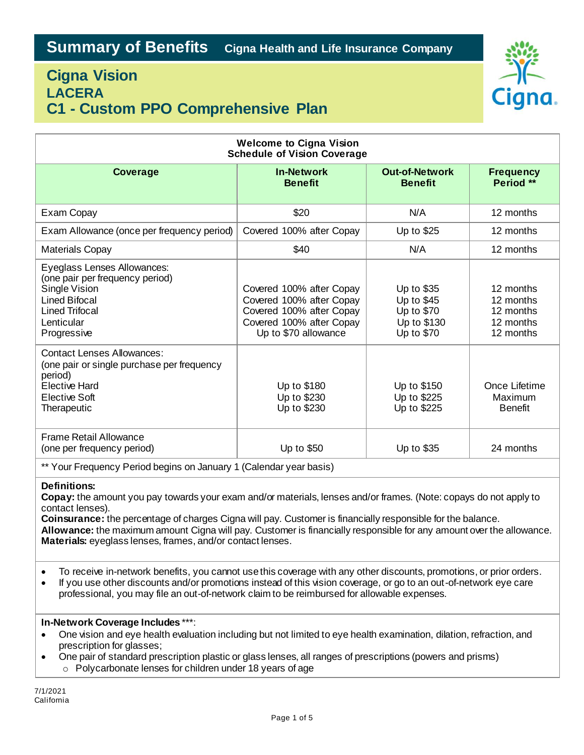# **Cigna Vision LACERA C1 - Custom PPO Comprehensive Plan**



| <b>Welcome to Cigna Vision</b><br><b>Schedule of Vision Coverage</b>                                                                                          |                                                                                                                                      |                                                                     |                                                               |
|---------------------------------------------------------------------------------------------------------------------------------------------------------------|--------------------------------------------------------------------------------------------------------------------------------------|---------------------------------------------------------------------|---------------------------------------------------------------|
| Coverage                                                                                                                                                      | <b>In-Network</b><br><b>Benefit</b>                                                                                                  | <b>Out-of-Network</b><br><b>Benefit</b>                             | <b>Frequency</b><br>Period **                                 |
| Exam Copay                                                                                                                                                    | \$20                                                                                                                                 | N/A                                                                 | 12 months                                                     |
| Exam Allowance (once per frequency period)                                                                                                                    | Covered 100% after Copay                                                                                                             | Up to \$25                                                          | 12 months                                                     |
| <b>Materials Copay</b>                                                                                                                                        | \$40                                                                                                                                 | N/A                                                                 | 12 months                                                     |
| Eyeglass Lenses Allowances:<br>(one pair per frequency period)<br>Single Vision<br><b>Lined Bifocal</b><br><b>Lined Trifocal</b><br>Lenticular<br>Progressive | Covered 100% after Copay<br>Covered 100% after Copay<br>Covered 100% after Copay<br>Covered 100% after Copay<br>Up to \$70 allowance | Up to \$35<br>Up to \$45<br>Up to \$70<br>Up to \$130<br>Up to \$70 | 12 months<br>12 months<br>12 months<br>12 months<br>12 months |
| <b>Contact Lenses Allowances:</b><br>(one pair or single purchase per frequency<br>period)<br><b>Elective Hard</b><br><b>Elective Soft</b><br>Therapeutic     | Up to \$180<br>Up to \$230<br>Up to \$230                                                                                            | Up to \$150<br>Up to \$225<br>Up to \$225                           | Once Lifetime<br>Maximum<br><b>Benefit</b>                    |
| <b>Frame Retail Allowance</b><br>(one per frequency period)                                                                                                   | Up to \$50                                                                                                                           | Up to \$35                                                          | 24 months                                                     |
| ** Your Frequency Period begins on January 1 (Calendar year basis)                                                                                            |                                                                                                                                      |                                                                     |                                                               |

## **Definitions:**

**Copay:** the amount you pay towards your exam and/or materials, lenses and/or frames. (Note: copays do not apply to contact lenses).

**Coinsurance:** the percentage of charges Cigna will pay. Customer is financially responsible for the balance. **Allowance:** the maximum amount Cigna will pay. Customer is financially responsible for any amount over the allowance. **Materials:** eyeglass lenses, frames, and/or contact lenses.

To receive in-network benefits, you cannot use this coverage with any other discounts, promotions, or prior orders.

 If you use other discounts and/or promotions instead of this vision coverage, or go to an out-of-network eye care professional, you may file an out-of-network claim to be reimbursed for allowable expenses.

## **In-Network Coverage Includes** \*\*\*:

- One vision and eye health evaluation including but not limited to eye health examination, dilation, refraction, and prescription for glasses;
- One pair of standard prescription plastic or glass lenses, all ranges of prescriptions (powers and prisms)
	- o Polycarbonate lenses for children under 18 years of age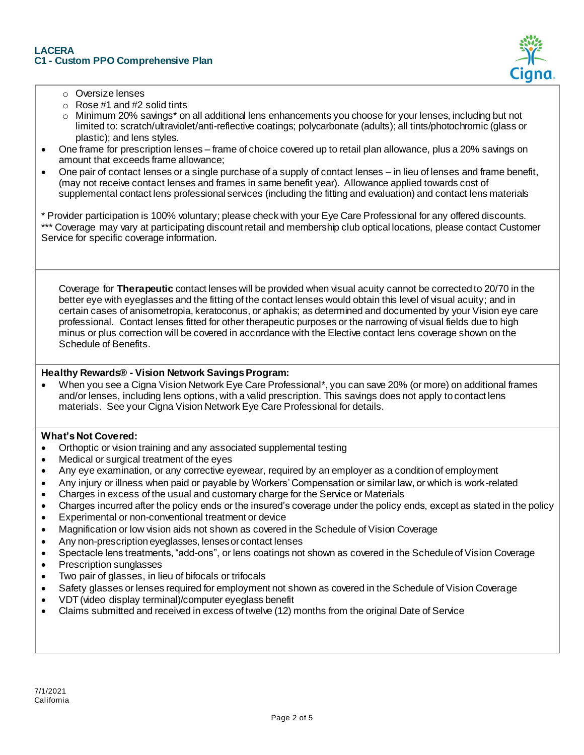

- o Oversize lenses
- $\circ$  Rose #1 and #2 solid tints
- o Minimum 20% savings\* on all additional lens enhancements you choose for your lenses, including but not limited to: scratch/ultraviolet/anti-reflective coatings; polycarbonate (adults); all tints/photochromic (glass or plastic); and lens styles.
- One frame for prescription lenses frame of choice covered up to retail plan allowance, plus a 20% savings on amount that exceeds frame allowance;
- One pair of contact lenses or a single purchase of a supply of contact lenses in lieu of lenses and frame benefit, (may not receive contact lenses and frames in same benefit year). Allowance applied towards cost of supplemental contact lens professional services (including the fitting and evaluation) and contact lens materials

\* Provider participation is 100% voluntary; please check with your Eye Care Professional for any offered discounts. \*\*\* Coverage may vary at participating discount retail and membership club optical locations, please contact Customer Service for specific coverage information.

Coverage for **Therapeutic** contact lenses will be provided when visual acuity cannot be corrected to 20/70 in the better eye with eyeglasses and the fitting of the contact lenses would obtain this level of visual acuity; and in certain cases of anisometropia, keratoconus, or aphakis; as determined and documented by your Vision eye care professional. Contact lenses fitted for other therapeutic purposes or the narrowing of visual fields due to high minus or plus correction will be covered in accordance with the Elective contact lens coverage shown on the Schedule of Benefits.

## **Healthy Rewards® - Vision Network Savings Program:**

 When you see a Cigna Vision Network Eye Care Professional\*, you can save 20% (or more) on additional frames and/or lenses, including lens options, with a valid prescription. This savings does not apply to contact lens materials. See your Cigna Vision Network Eye Care Professional for details.

## **What's Not Covered:**

- Orthoptic or vision training and any associated supplemental testing
- Medical or surgical treatment of the eyes
- Any eye examination, or any corrective eyewear, required by an employer as a condition of employment
- Any injury or illness when paid or payable by Workers' Compensation or similar law, or which is work-related
- Charges in excess of the usual and customary charge for the Service or Materials
- Charges incurred after the policy ends or the insured's coverage under the policy ends, except as stated in the policy
- Experimental or non-conventional treatment or device
- Magnification or low vision aids not shown as covered in the Schedule of Vision Coverage
- Any non-prescription eyeglasses, lenses or contact lenses
- Spectacle lens treatments, "add-ons", or lens coatings not shown as covered in the Schedule of Vision Coverage
- Prescription sunglasses
- Two pair of glasses, in lieu of bifocals or trifocals
- Safety glasses or lenses required for employment not shown as covered in the Schedule of Vision Coverage
- VDT (video display terminal)/computer eyeglass benefit
- Claims submitted and received in excess of twelve (12) months from the original Date of Service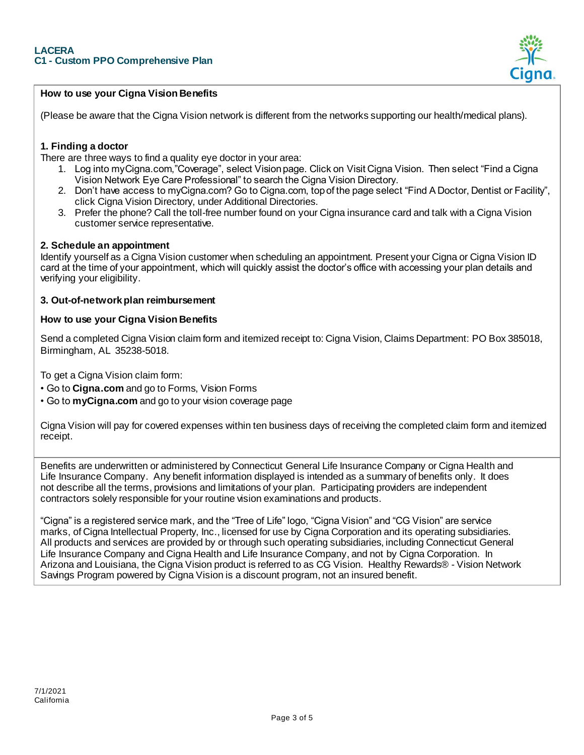

## **How to use your Cigna Vision Benefits**

(Please be aware that the Cigna Vision network is different from the networks supporting our health/medical plans).

## **1. Finding a doctor**

There are three ways to find a quality eye doctor in your area:

- 1. Log into myCigna.com,"Coverage", select Vision page. Click on Visit Cigna Vision. Then select "Find a Cigna Vision Network Eye Care Professional" to search the Cigna Vision Directory.
- 2. Don't have access to myCigna.com? Go to Cigna.com, top of the page select "Find A Doctor, Dentist or Facility", click Cigna Vision Directory, under Additional Directories.
- 3. Prefer the phone? Call the toll-free number found on your Cigna insurance card and talk with a Cigna Vision customer service representative.

#### **2. Schedule an appointment**

Identify yourself as a Cigna Vision customer when scheduling an appointment. Present your Cigna or Cigna Vision ID card at the time of your appointment, which will quickly assist the doctor's office with accessing your plan details and verifying your eligibility.

#### **3. Out-of-network plan reimbursement**

#### **How to use your Cigna Vision Benefits**

Send a completed Cigna Vision claim form and itemized receipt to: Cigna Vision, Claims Department: PO Box 385018, Birmingham, AL 35238-5018.

To get a Cigna Vision claim form:

- Go to **Cigna.com** and go to Forms, Vision Forms
- Go to **myCigna.com** and go to your vision coverage page

Cigna Vision will pay for covered expenses within ten business days of receiving the completed claim form and itemized receipt.

Benefits are underwritten or administered by Connecticut General Life Insurance Company or Cigna Health and Life Insurance Company. Any benefit information displayed is intended as a summary of benefits only. It does not describe all the terms, provisions and limitations of your plan. Participating providers are independent contractors solely responsible for your routine vision examinations and products.

"Cigna" is a registered service mark, and the "Tree of Life" logo, "Cigna Vision" and "CG Vision" are service marks, of Cigna Intellectual Property, Inc., licensed for use by Cigna Corporation and its operating subsidiaries. All products and services are provided by or through such operating subsidiaries, including Connecticut General Life Insurance Company and Cigna Health and Life Insurance Company, and not by Cigna Corporation. In Arizona and Louisiana, the Cigna Vision product is referred to as CG Vision. Healthy Rewards® - Vision Network Savings Program powered by Cigna Vision is a discount program, not an insured benefit.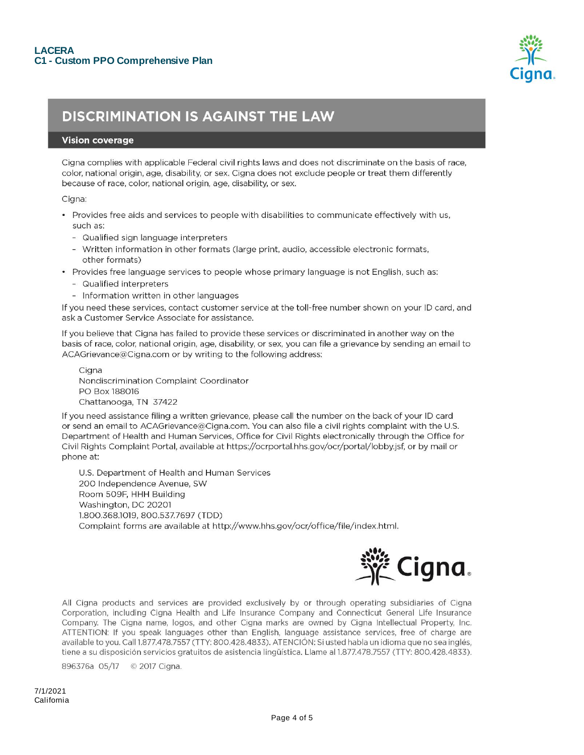

## **DISCRIMINATION IS AGAINST THE LAW**

#### **Vision coverage**

Cigna complies with applicable Federal civil rights laws and does not discriminate on the basis of race, color, national origin, age, disability, or sex. Cigna does not exclude people or treat them differently because of race, color, national origin, age, disability, or sex.

Cigna:

- Provides free aids and services to people with disabilities to communicate effectively with us, such as:
	- Qualified sign language interpreters
	- Written information in other formats (large print, audio, accessible electronic formats, other formats)
- Provides free language services to people whose primary language is not English, such as:
	- Qualified interpreters
	- Information written in other languages

If you need these services, contact customer service at the toll-free number shown on your ID card, and ask a Customer Service Associate for assistance.

If you believe that Cigna has failed to provide these services or discriminated in another way on the basis of race, color, national origin, age, disability, or sex, you can file a grievance by sending an email to ACAGrievance@Cigna.com or by writing to the following address:

Ciana Nondiscrimination Complaint Coordinator PO Box 188016 Chattanooga, TN 37422

If you need assistance filing a written grievance, please call the number on the back of your ID card or send an email to ACAGrievance@Cigna.com. You can also file a civil rights complaint with the U.S. Department of Health and Human Services, Office for Civil Rights electronically through the Office for Civil Rights Complaint Portal, available at https://ocrportal.hhs.gov/ocr/portal/lobby.jsf, or by mail or phone at:

U.S. Department of Health and Human Services 200 Independence Avenue, SW Room 509F, HHH Building Washington, DC 20201 1.800.368.1019, 800.537.7697 (TDD) Complaint forms are available at http://www.hhs.gov/ocr/office/file/index.html.



All Cigna products and services are provided exclusively by or through operating subsidiaries of Cigna Corporation, including Cigna Health and Life Insurance Company and Connecticut General Life Insurance Company. The Cigna name, logos, and other Cigna marks are owned by Cigna Intellectual Property, Inc. ATTENTION: If you speak languages other than English, language assistance services, free of charge are available to you. Call 1.877.478.7557 (TTY: 800.428.4833). ATENCIÓN: Si usted habla un idioma que no sea inglés, tiene a su disposición servicios gratuitos de asistencia lingüística. Llame al 1.877.478.7557 (TTY: 800.428.4833).

896376a 05/17 © 2017 Cigna.